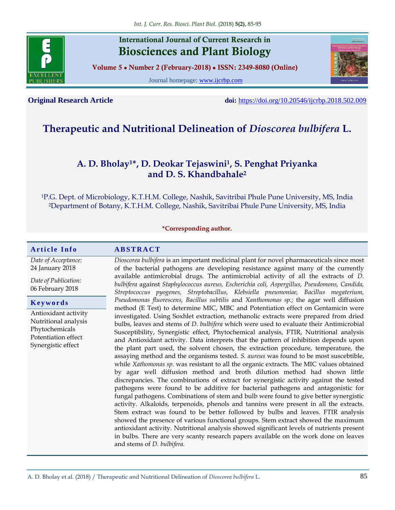

# **International Journal of Current Research in Biosciences and Plant Biology**

**Volume 5 ● Number 2 (February-2018) ● ISSN: 2349-8080 (Online)**

Journal homepage: [www.ijcrbp.com](http://www.ijcrbp.com/)



**Original Research Article doi:** <https://doi.org/10.20546/ijcrbp.2018.502.009>

# **Therapeutic and Nutritional Delineation of** *Dioscorea bulbifera* **L.**

# **A. D. Bholay1\*, D. Deokar Tejaswini<sup>1</sup> , S. Penghat Priyanka and D. S. Khandbahale<sup>2</sup>**

<sup>1</sup>P.G. Dept. of Microbiology, K.T.H.M. College, Nashik, Savitribai Phule Pune University, MS, India <sup>2</sup>Department of Botany, K.T.H.M. College, Nashik, Savitribai Phule Pune University, MS, India

#### **\*Corresponding author.**

#### **A r t i c l e I n f o A B S T R A C T**

*Date of Acceptance:* 24 January 2018

*Date of Publication:* 06 February 2018

#### **K e y w o r d s**

Antioxidant activity Nutritional analysis Phytochemicals Potentiation effect Synergistic effect

*Dioscorea bulbifera* is an important medicinal plant for novel pharmaceuticals since most of the bacterial pathogens are developing resistance against many of the currently available antimicrobial drugs. The antimicrobial activity of all the extracts of *D. bulbifera* against *Staphylococcus aureus, Escherichia coli, Aspergillus, Pseudomons, Candida, Streptococcus pyogenes, Streptobacillus, Klebsiella pneumoniae, Bacillus megaterium, Pseudomonas fluorescens, Bacillus subtilis* and *Xanthomonas sp.;* the agar well diffusion method (E Test) to determine MIC, MBC and Potentiation effect on Gentamicin were investigated. Using Soxhlet extraction, methanolic extracts were prepared from dried bulbs, leaves and stems of *D. bulbifera* which were used to evaluate their Antimicrobial Susceptibility, Synergistic effect, Phytochemical analysis, FTIR, Nutritional analysis and Antioxidant activity. Data interprets that the pattern of inhibition depends upon the plant part used, the solvent chosen, the extraction procedure, temperature, the assaying method and the organisms tested. *S. aureus* was found to be most suscebtible, while *Xathomonas sp.* was resistant to all the organic extracts. The MIC values obtained by agar well diffusion method and broth dilution method had shown little discrepancies. The combinations of extract for synergistic activity against the tested pathogens were found to be additive for bacterial pathogens and antagonistic for fungal pathogens. Combinations of stem and bulb were found to give better synergistic activity. Alkaloids, terpenoids, phenols and tannins were present in all the extracts. Stem extract was found to be better followed by bulbs and leaves. FTIR analysis showed the presence of various functional groups. Stem extract showed the maximum antioxidant activity. Nutritional analysis showed significant levels of nutrients present in bulbs. There are very scanty research papers available on the work done on leaves and stems of *D. bulbifera.*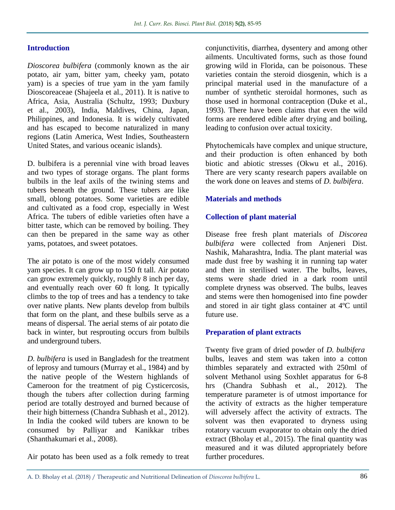## **Introduction**

*Dioscorea bulbifera* (commonly known as the air potato, air yam, bitter yam, cheeky yam, potato yam) is a species of true yam in the yam family Dioscoreaceae (Shajeela et al., 2011). It is native to Africa, Asia, Australia (Schultz, 1993; Duxbury et al., 2003), India, Maldives, China, Japan, Philippines, and Indonesia. It is widely cultivated and has escaped to become naturalized in many regions (Latin America, West Indies, Southeastern United States, and various oceanic islands).

D. bulbifera is a perennial vine with broad leaves and two types of storage organs. The plant forms bulbils in the leaf axils of the twining stems and tubers beneath the ground. These tubers are like small, oblong potatoes. Some varieties are edible and cultivated as a food crop, especially in West Africa. The tubers of edible varieties often have a bitter taste, which can be removed by boiling. They can then be prepared in the same way as other yams, potatoes, and sweet potatoes.

The air potato is one of the most widely consumed yam species. It can grow up to 150 ft tall. Air potato can grow extremely quickly, roughly 8 inch per day, and eventually reach over 60 ft long. It typically climbs to the top of trees and has a tendency to take over native plants. New plants develop from bulbils that form on the plant, and these bulbils serve as a means of dispersal. The aerial stems of air potato die back in winter, but resprouting occurs from bulbils and underground tubers.

*D. bulbifera* is used in Bangladesh for the treatment of leprosy and tumours (Murray et al., 1984) and by the native people of the Western highlands of Cameroon for the treatment of pig Cysticercosis, though the tubers after collection during farming period are totally destroyed and burned because of their high bitterness (Chandra Subhash et al., 2012). In India the cooked wild tubers are known to be consumed by Palliyar and Kanikkar tribes (Shanthakumari et al., 2008).

Air potato has been used as a folk remedy to treat

conjunctivitis, diarrhea, dysentery and among other ailments. Uncultivated forms, such as those found growing wild in Florida, can be poisonous. These varieties contain the steroid diosgenin, which is a principal material used in the manufacture of a number of synthetic steroidal hormones, such as those used in hormonal contraception (Duke et al., 1993). There have been claims that even the wild forms are rendered edible after drying and boiling, leading to confusion over actual toxicity.

Phytochemicals have complex and unique structure, and their production is often enhanced by both biotic and abiotic stresses (Okwu et al., 2016). There are very scanty research papers available on the work done on leaves and stems of *D. bulbifera*.

#### **Materials and methods**

## **Collection of plant material**

Disease free fresh plant materials of *Discorea bulbifera* were collected from Anjeneri Dist. Nashik, Maharashtra, India. The plant material was made dust free by washing it in running tap water and then in sterilised water. The bulbs, leaves, stems were shade dried in a dark room until complete dryness was observed. The bulbs, leaves and stems were then homogenised into fine powder and stored in air tight glass container at 4ºC until future use.

#### **Preparation of plant extracts**

Twenty five gram of dried powder of *D. bulbifera* bulbs, leaves and stem was taken into a cotton thimbles separately and extracted with 250ml of solvent Methanol using Soxhlet apparatus for 6-8 hrs (Chandra Subhash et al., 2012). The temperature parameter is of utmost importance for the activity of extracts as the higher temperature will adversely affect the activity of extracts. The solvent was then evaporated to dryness using rotatory vacuum evaporator to obtain only the dried extract (Bholay et al., 2015). The final quantity was measured and it was diluted appropriately before further procedures.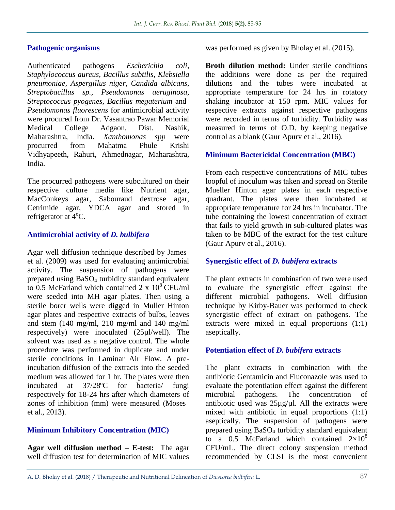## **Pathogenic organisms**

Authenticated pathogens *Escherichia coli*, *Staphylococcus aureus*, *Bacillus subtilis*, *Klebsiella pneumoniae*, *Aspergillus niger, Candida albicans*, *Streptobacillus sp., Pseudomonas aeruginosa, Streptococcus pyogenes, Bacillus megaterium* and *Pseudomonas fluorescens* for antimicrobial activity were procured from Dr. Vasantrao Pawar Memorial Medical College Adgaon, Dist. Nashik, Maharashtra, India. *Xanthomonas spp* were procurred from Mahatma Phule Krishi Vidhyapeeth, Rahuri, Ahmednagar, Maharashtra, India.

The procurred pathogens were subcultured on their respective culture media like Nutrient agar, MacConkeys agar, Sabouraud dextrose agar, Cetrimide agar, YDCA agar and stored in refrigerator at  $4^{\circ}$ C.

## **Antimicrobial activity of** *D. bulbifera*

Agar well diffusion technique described by James et al. (2009) was used for evaluating antimicrobial activity. The suspension of pathogens were prepared using BaSO<sup>4</sup> turbidity standard equivalent to 0.5 McFarland which contained 2 x  $10^8$  CFU/ml were seeded into MH agar plates. Then using a sterile borer wells were digged in Muller Hinton agar plates and respective extracts of bulbs, leaves and stem (140 mg/ml, 210 mg/ml and 140 mg/ml respectively) were inoculated (25µl/well). The solvent was used as a negative control. The whole procedure was performed in duplicate and under sterile conditions in Laminar Air Flow. A preincubation diffusion of the extracts into the seeded medium was allowed for 1 hr. The plates were then incubated at 37/28ºC for bacteria/ fungi respectively for 18-24 hrs after which diameters of zones of inhibition (mm) were measured (Moses et al., 2013).

## **Minimum Inhibitory Concentration (MIC)**

**Agar well diffusion method – E-test:** The agar well diffusion test for determination of MIC values was performed as given by Bholay et al. (2015).

**Broth dilution method:** Under sterile conditions the additions were done as per the required dilutions and the tubes were incubated at appropriate temperature for 24 hrs in rotatory shaking incubator at 150 rpm. MIC values for respective extracts against respective pathogens were recorded in terms of turbidity. Turbidity was measured in terms of O.D. by keeping negative control as a blank (Gaur Apurv et al., 2016).

## **Minimum Bactericidal Concentration (MBC)**

From each respective concentrations of MIC tubes loopful of inoculum was taken and spread on Sterile Mueller Hinton agar plates in each respective quadrant. The plates were then incubated at appropriate temperature for 24 hrs in incubator. The tube containing the lowest concentration of extract that fails to yield growth in sub-cultured plates was taken to be MBC of the extract for the test culture (Gaur Apurv et al., 2016).

#### **Synergistic effect of** *D. bubifera* **extracts**

The plant extracts in combination of two were used to evaluate the synergistic effect against the different microbial pathogens. Well diffusion technique by Kirby-Bauer was performed to check synergistic effect of extract on pathogens. The extracts were mixed in equal proportions (1:1) aseptically.

#### **Potentiation effect of** *D. bubifera* **extracts**

The plant extracts in combination with the antibiotic Gentamicin and Fluconazole was used to evaluate the potentiation effect against the different microbial pathogens. The concentration of antibiotic used was  $25\mu g/\mu l$ . All the extracts were mixed with antibiotic in equal proportions (1:1) aseptically. The suspension of pathogens were prepared using BaSO<sup>4</sup> turbidity standard equivalent to a 0.5 McFarland which contained  $2\times10^8$ CFU/mL. The direct colony suspension method recommended by CLSI is the most convenient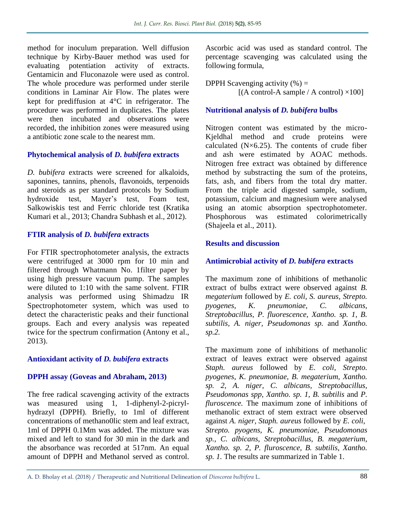method for inoculum preparation. Well diffusion technique by Kirby-Bauer method was used for evaluating potentiation activity of extracts. Gentamicin and Fluconazole were used as control. The whole procedure was performed under sterile conditions in Laminar Air Flow. The plates were kept for prediffusion at 4°C in refrigerator. The procedure was performed in duplicates. The plates were then incubated and observations were recorded, the inhibition zones were measured using a antibiotic zone scale to the nearest mm.

## **Phytochemical analysis of** *D. bubifera* **extracts**

*D. bubifera* extracts were screened for alkaloids, saponines, tannins, phenols, flavonoids, terpenoids and steroids as per standard protocols by Sodium hydroxide test, Mayer's test, Foam test, Salkowiskis test and Ferric chloride test (Kratika Kumari et al., 2013; Chandra Subhash et al., 2012).

## **FTIR analysis of** *D. bubifera* **extracts**

For FTIR spectrophotometer analysis, the extracts were centrifuged at 3000 rpm for 10 min and filtered through Whatmann No. 1filter paper by using high pressure vacuum pump. The samples were diluted to 1:10 with the same solvent. FTIR analysis was performed using Shimadzu IR Spectrophotometer system, which was used to detect the characteristic peaks and their functional groups. Each and every analysis was repeated twice for the spectrum confirmation (Antony et al., 2013).

## **Antioxidant activity of** *D. bubifera* **extracts**

## **DPPH assay (Goveas and Abraham, 2013)**

The free radical scavenging activity of the extracts was measured using 1, 1-diphenyl-2-picrylhydrazyl (DPPH). Briefly, to 1ml of different concentrations of methano0lic stem and leaf extract, 1ml of DPPH 0.1Mm was added. The mixture was mixed and left to stand for 30 min in the dark and the absorbance was recorded at 517nm. An equal amount of DPPH and Methanol served as control.

Ascorbic acid was used as standard control. The percentage scavenging was calculated using the following formula,

DPPH Scavenging activity  $(\% )$  =  $[(A control-A sample / A control) \times 100]$ 

## **Nutritional analysis of** *D. bubifera* **bulbs**

Nitrogen content was estimated by the micro-Kjeldhal method and crude proteins were calculated  $(N\times 6.25)$ . The contents of crude fiber and ash were estimated by AOAC methods. Nitrogen free extract was obtained by difference method by substracting the sum of the proteins, fats, ash, and fibers from the total dry matter. From the triple acid digested sample, sodium, potassium, calcium and magnesium were analysed using an atomic absorption spectrophotometer. Phosphorous was estimated colorimetrically (Shajeela et al., 2011).

## **Results and discussion**

## **Antimicrobial activity of** *D. bubifera* **extracts**

The maximum zone of inhibitions of methanolic extract of bulbs extract were observed against *B. megaterium* followed by *E. coli, S. aureus, Strepto. pyogenes, K. pneumoniae, C. albicans, Streptobacillus, P. fluorescence, Xantho. sp. 1, B. subtilis, A. niger, Pseudomonas sp.* and *Xantho. sp.2.* 

The maximum zone of inhibitions of methanolic extract of leaves extract were observed against *Staph. aureus* followed by *E. coli, Strepto. pyogenes, K. pneumoniae*, *B. megaterium, Xantho. sp. 2, A. niger, C. albicans, Streptobacillus, Pseudomonas spp, Xantho. sp. 1, B. subtilis* and *P. fluroscence.* The maximum zone of inhibitions of methanolic extract of stem extract were observed against *A. niger, Staph. aureus* followed by *E. coli, Strepto. pyogens*, *K. pneumoniae, Pseudomonas sp., C. albicans, Streptobacillus, B. megaterium, Xantho. sp. 2, P. fluroscence, B. subtilis, Xantho. sp. 1.* The results are summarized in Table 1.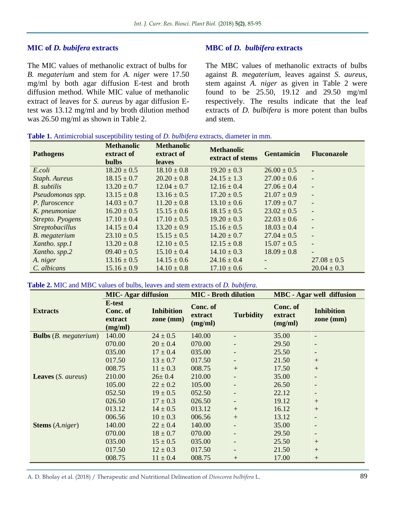#### **MIC of** *D. bubifera* **extracts**

The MIC values of methanolic extract of bulbs for *B. megaterium* and stem for *A. niger* were 17.50 mg/ml by both agar diffusion E-test and broth diffusion method. While MIC value of methanolic extract of leaves for *S. aureus* by agar diffusion Etest was 13.12 mg/ml and by broth dilution method was 26.50 mg/ml as shown in Table 2.

## **MBC of** *D. bulbifera* **extracts**

The MBC values of methanolic extracts of bulbs against *B. megaterium,* leaves against *S. aureus*, stem against *A. niger* as given in Table 2 were found to be 25.50, 19.12 and 29.50 mg/ml respectively. The results indicate that the leaf extracts of *D. bulbifera* is more potent than bulbs and stem.

| <b>Pathogens</b>       | <b>Methanolic</b><br>extract of<br><b>bulbs</b> | <b>Methanolic</b><br>extract of<br><b>leaves</b> | <b>Methanolic</b><br>extract of stems | <b>Gentamicin</b>        | <b>Fluconazole</b>       |
|------------------------|-------------------------------------------------|--------------------------------------------------|---------------------------------------|--------------------------|--------------------------|
| E.coli                 | $18.20 \pm 0.5$                                 | $18.10 \pm 0.8$                                  | $19.20 \pm 0.3$                       | $26.00 \pm 0.5$          | ٠                        |
| Staph. Aureus          | $18.15 \pm 0.7$                                 | $20.20 \pm 0.8$                                  | $24.15 \pm 1.3$                       | $27.00 \pm 0.6$          | $\overline{\phantom{a}}$ |
| B. subtilis            | $13.20 \pm 0.7$                                 | $12.04 \pm 0.7$                                  | $12.16 \pm 0.4$                       | $27.06 \pm 0.4$          | $\overline{\phantom{a}}$ |
| Pseudomonas spp.       | $13.15 \pm 0.8$                                 | $13.16 \pm 0.5$                                  | $17.20 \pm 0.5$                       | $21.07 \pm 0.9$          | $\overline{\phantom{a}}$ |
| P. fluroscence         | $14.03 \pm 0.7$                                 | $11.20 \pm 0.8$                                  | $13.10 \pm 0.6$                       | $17.09 \pm 0.7$          | $\overline{\phantom{a}}$ |
| K. pneumoniae          | $16.20 \pm 0.5$                                 | $15.15 \pm 0.6$                                  | $18.15 \pm 0.5$                       | $23.02 \pm 0.5$          | $\overline{\phantom{a}}$ |
| Strepto. Pyogens       | $17.10 \pm 0.4$                                 | $17.10 \pm 0.5$                                  | $19.20 \pm 0.3$                       | $22.03 \pm 0.6$          | $\overline{\phantom{a}}$ |
| <b>Streptobacillus</b> | $14.15 \pm 0.4$                                 | $13.20 \pm 0.9$                                  | $15.16 \pm 0.5$                       | $18.03 \pm 0.4$          | $\overline{a}$           |
| B. megaterium          | $23.10 \pm 0.5$                                 | $15.15 \pm 0.5$                                  | $14.20 \pm 0.7$                       | $27.04 \pm 0.5$          |                          |
| Xantho. spp.1          | $13.20 \pm 0.8$                                 | $12.10 \pm 0.5$                                  | $12.15 \pm 0.8$                       | $15.07 \pm 0.5$          | $\overline{\phantom{a}}$ |
| Xantho. spp.2          | $09.40 \pm 0.5$                                 | $15.10 \pm 0.4$                                  | $14.10 \pm 0.3$                       | $18.09 \pm 0.8$          |                          |
| A. niger               | $13.16 \pm 0.5$                                 | $14.15 \pm 0.6$                                  | $24.16 \pm 0.4$                       | $\overline{\phantom{a}}$ | $27.08 \pm 0.5$          |
| C. albicans            | $15.16 \pm 0.9$                                 | $14.10 \pm 0.8$                                  | $17.10 \pm 0.6$                       |                          | $20.04 \pm 0.3$          |

#### **Table 1.** Antimicrobial susceptibility testing of *D. bulbifera* extracts, diameter in mm.

#### **Table 2.** MIC and MBC values of bulbs, leaves and stem extracts of *D. bubifera.*

|                                       | <b>MIC-Agar diffusion</b>                |                                | <b>MIC - Broth dilution</b>    |                  | <b>MBC</b> - Agar well diffusion |                                |
|---------------------------------------|------------------------------------------|--------------------------------|--------------------------------|------------------|----------------------------------|--------------------------------|
| <b>Extracts</b>                       | E-test<br>Conc. of<br>extract<br>(mg/ml) | <b>Inhibition</b><br>zone (mm) | Conc. of<br>extract<br>(mg/ml) | <b>Turbidity</b> | Conc. of<br>extract<br>(mg/ml)   | <b>Inhibition</b><br>zone (mm) |
| <b>Bulbs</b> ( <i>B. megaterium</i> ) | 140.00                                   | $24 \pm 0.5$                   | 140.00                         |                  | 35.00                            |                                |
|                                       | 070.00                                   | $20 \pm 0.4$                   | 070.00                         |                  | 29.50                            |                                |
|                                       | 035.00                                   | $17 \pm 0.4$                   | 035.00                         |                  | 25.50                            |                                |
|                                       | 017.50                                   | $13 \pm 0.7$                   | 017.50                         |                  | 21.50                            | $+$                            |
|                                       | 008.75                                   | $11 \pm 0.3$                   | 008.75                         | $+$              | 17.50                            | $+$                            |
| <b>Leaves</b> ( <i>S. aureus</i> )    | 210.00                                   | $26 \pm 0.4$                   | 210.00                         |                  | 35.00                            |                                |
|                                       | 105.00                                   | $22 \pm 0.2$                   | 105.00                         |                  | 26.50                            |                                |
|                                       | 052.50                                   | $19 \pm 0.5$                   | 052.50                         |                  | 22.12                            |                                |
|                                       | 026.50                                   | $17 \pm 0.3$                   | 026.50                         |                  | 19.12                            | $^{+}$                         |
|                                       | 013.12                                   | $14 \pm 0.5$                   | 013.12                         | $+$              | 16.12                            | $+$                            |
|                                       | 006.56                                   | $10 \pm 0.3$                   | 006.56                         | $+$              | 13.12                            | $\overline{\phantom{a}}$       |
| <b>Stems</b> (A.niger)                | 140.00                                   | $22 \pm 0.4$                   | 140.00                         |                  | 35.00                            |                                |
|                                       | 070.00                                   | $18 \pm 0.7$                   | 070.00                         |                  | 29.50                            |                                |
|                                       | 035.00                                   | $15 \pm 0.5$                   | 035.00                         |                  | 25.50                            | $+$                            |
|                                       | 017.50                                   | $12 \pm 0.3$                   | 017.50                         |                  | 21.50                            | $^{+}$                         |
|                                       | 008.75                                   | $11 \pm 0.4$                   | 008.75                         | $^{+}$           | 17.00                            | $^{+}$                         |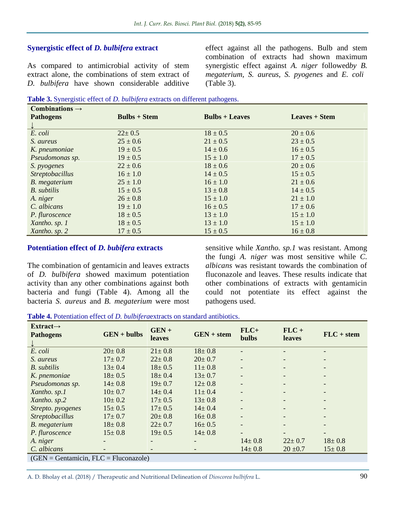#### **Synergistic effect of** *D. bulbifera* **extract**

As compared to antimicrobial activity of stem extract alone, the combinations of stem extract of *D. bulbifera* have shown considerable additive

effect against all the pathogens. Bulb and stem combination of extracts had shown maximum synergistic effect against *A. niger* followed*by B. megaterium, S. aureus, S. pyogenes* and *E. coli*  (Table 3).

|  | Table 3. Synergistic effect of <i>D. bulbifera</i> extracts on different pathogens. |  |  |  |  |
|--|-------------------------------------------------------------------------------------|--|--|--|--|
|--|-------------------------------------------------------------------------------------|--|--|--|--|

| Combinations $\rightarrow$ |                |                  |                      |
|----------------------------|----------------|------------------|----------------------|
| <b>Pathogens</b>           | $Bulbs + Stem$ | $Bulbs + Leaves$ | <b>Leaves</b> + Stem |
|                            |                |                  |                      |
| E. coli                    | $22 \pm 0.5$   | $18 \pm 0.5$     | $20 \pm 0.6$         |
| S. aureus                  | $25 \pm 0.6$   | $21 \pm 0.5$     | $23 \pm 0.5$         |
| K. pneumoniae              | $19 \pm 0.5$   | $14 \pm 0.6$     | $16 \pm 0.5$         |
| Pseudomonas sp.            | $19 \pm 0.5$   | $15 \pm 1.0$     | $17 \pm 0.5$         |
| S. pyogenes                | $22 \pm 0.6$   | $18 \pm 0.6$     | $20 \pm 0.6$         |
| <b>Streptobacillus</b>     | $16 \pm 1.0$   | $14 \pm 0.5$     | $15 \pm 0.5$         |
| B. megaterium              | $25 \pm 1.0$   | $16 \pm 1.0$     | $21 \pm 0.6$         |
| B. subtilis                | $15 \pm 0.5$   | $13 \pm 0.8$     | $14 \pm 0.5$         |
| A. niger                   | $26 \pm 0.8$   | $15 \pm 1.0$     | $21 \pm 1.0$         |
| C. albicans                | $19 \pm 1.0$   | $16 \pm 0.5$     | $17 \pm 0.6$         |
| P. fluroscence             | $18 \pm 0.5$   | $13 \pm 1.0$     | $15 \pm 1.0$         |
| Xantho. sp. 1              | $18 \pm 0.5$   | $13 \pm 1.0$     | $15 \pm 1.0$         |
| Xantho. sp. 2              | $17 \pm 0.5$   | $15 \pm 0.5$     | $16 \pm 0.8$         |

#### **Potentiation effect of** *D. bubifera* **extracts**

The combination of gentamicin and leaves extracts of *D. bulbifera* showed maximum potentiation activity than any other combinations against both bacteria and fungi (Table 4). Among all the bacteria *S. aureus* and *B. megaterium* were most

sensitive while *Xantho. sp.1* was resistant. Among the fungi *A. niger* was most sensitive while *C. albicans* was resistant towards the combination of fluconazole and leaves. These results indicate that other combinations of extracts with gentamicin could not potentiate its effect against the pathogens used.

**Table 4.** Potentiation effect of *D. bulbifera*extracts on standard antibiotics.

| $Extract\rightarrow$<br><b>Pathogens</b> | $GEN + bulbs$ | $GEN +$<br><b>leaves</b> | $GEN + stem$ | $FLC+$<br><b>bulbs</b>   | $FLC +$<br><b>leaves</b> | $FLC + stem$                 |
|------------------------------------------|---------------|--------------------------|--------------|--------------------------|--------------------------|------------------------------|
| E. coli                                  | $20 \pm 0.8$  | $21 \pm 0.8$             | $18 \pm 0.8$ |                          |                          | $\overline{\phantom{a}}$     |
| S. aureus                                | $17 \pm 0.7$  | $22 \pm 0.8$             | $20 \pm 0.7$ |                          |                          |                              |
| B. subtilis                              | $13 \pm 0.4$  | $18 \pm 0.5$             | $11 \pm 0.8$ |                          | $\overline{\phantom{0}}$ |                              |
| K. pnemoniae                             | $18 \pm 0.5$  | $18 \pm 0.4$             | $13 \pm 0.7$ |                          |                          | $\overline{\phantom{a}}$     |
| Pseudomonas sp.                          | $14 \pm 0.8$  | $19 \pm 0.7$             | $12 \pm 0.8$ | $\overline{\phantom{0}}$ | $\overline{\phantom{a}}$ | $\overline{\phantom{a}}$     |
| Xantho. sp.1                             | $10 \pm 0.7$  | $14 \pm 0.4$             | $11 \pm 0.4$ |                          |                          |                              |
| Xantho. sp.2                             | $10 \pm 0.2$  | $17 \pm 0.5$             | $13 \pm 0.8$ |                          |                          |                              |
| Strepto. pyogenes                        | $15 \pm 0.5$  | $17 \pm 0.5$             | $14 \pm 0.4$ |                          | $\overline{\phantom{0}}$ | $\qquad \qquad \blacksquare$ |
| <b>Streptobacillus</b>                   | $17 \pm 0.7$  | $20 \pm 0.8$             | $16 \pm 0.8$ |                          |                          | $\overline{\phantom{a}}$     |
| <b>B.</b> megaterium                     | $18 \pm 0.8$  | $22 \pm 0.7$             | $16 \pm 0.5$ | $\overline{\phantom{0}}$ | $\overline{\phantom{a}}$ | $\overline{\phantom{a}}$     |
| P. fluroscence                           | $15 \pm 0.8$  | $19 \pm 0.5$             | $14 \pm 0.8$ |                          |                          |                              |
| A. niger                                 |               |                          |              | $14 \pm 0.8$             | $22 \pm 0.7$             | $18 \pm 0.8$                 |
| C. albicans                              |               |                          |              | $14 \pm 0.8$             | $20 \pm 0.7$             | $15 \pm 0.8$                 |
| $(GFN - Gentamicin$ $FI C - Fluconzole)$ |               |                          |              |                          |                          |                              |

(GEN = Gentamicin, FLC = Fluconazole)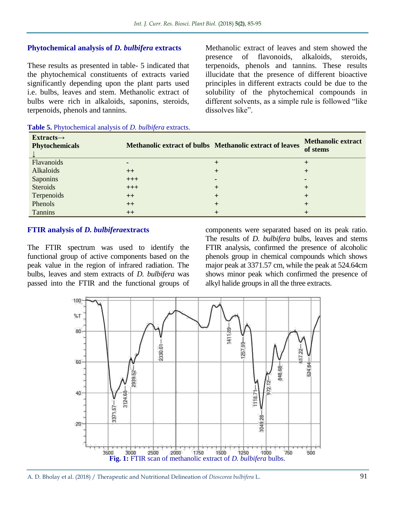## **Phytochemical analysis of** *D. bulbifera* **extracts**

These results as presented in table- 5 indicated that the phytochemical constituents of extracts varied significantly depending upon the plant parts used i.e. bulbs, leaves and stem. Methanolic extract of bulbs were rich in alkaloids, saponins, steroids, terpenoids, phenols and tannins.

Methanolic extract of leaves and stem showed the presence of flavonoids, alkaloids, steroids, terpenoids, phenols and tannins. These results illucidate that the presence of different bioactive principles in different extracts could be due to the solubility of the phytochemical compounds in different solvents, as a simple rule is followed "like dissolves like".

| $Extracts \rightarrow$<br><b>Phytochemicals</b> |       | Methanolic extract of bulbs Methanolic extract of leaves | <b>Methanolic extract</b><br>of stems |
|-------------------------------------------------|-------|----------------------------------------------------------|---------------------------------------|
| Flavanoids                                      |       |                                                          |                                       |
| Alkaloids                                       | $++$  |                                                          |                                       |
| Saponins                                        | $+++$ |                                                          |                                       |
| Steroids                                        | $+++$ |                                                          |                                       |
| Terpenoids                                      | $++$  |                                                          |                                       |
| Phenols                                         | $++$  |                                                          |                                       |
| Tannins                                         | $++$  |                                                          |                                       |

#### **Table 5.** Phytochemical analysis of *D. bulbifera* extracts.

#### **FTIR analysis of** *D. bulbifera***extracts**

The FTIR spectrum was used to identify the functional group of active components based on the peak value in the region of infrared radiation. The bulbs, leaves and stem extracts of *D. bulbifera* was passed into the FTIR and the functional groups of components were separated based on its peak ratio. The results of *D. bulbifera* bulbs, leaves and stems FTIR analysis, confirmed the presence of alcoholic phenols group in chemical compounds which shows major peak at 3371.57 cm, while the peak at 524.64cm shows minor peak which confirmed the presence of alkyl halide groups in all the three extracts.

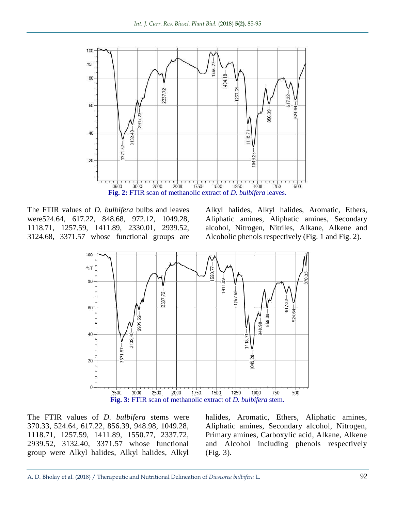

The FTIR values of *D. bulbifera* bulbs and leaves were524.64, 617.22, 848.68, 972.12, 1049.28, 1118.71, 1257.59, 1411.89, 2330.01, 2939.52, 3124.68, 3371.57 whose functional groups are Alkyl halides, Alkyl halides, Aromatic, Ethers, Aliphatic amines, Aliphatic amines, Secondary alcohol, Nitrogen, Nitriles, Alkane, Alkene and Alcoholic phenols respectively (Fig. 1 and Fig. 2).



The FTIR values of *D. bulbifera* stems were 370.33, 524.64, 617.22, 856.39, 948.98, 1049.28, 1118.71, 1257.59, 1411.89, 1550.77, 2337.72, 2939.52, 3132.40, 3371.57 whose functional group were Alkyl halides, Alkyl halides, Alkyl

halides, Aromatic, Ethers, Aliphatic amines, Aliphatic amines, Secondary alcohol, Nitrogen, Primary amines, Carboxylic acid, Alkane, Alkene and Alcohol including phenols respectively (Fig. 3).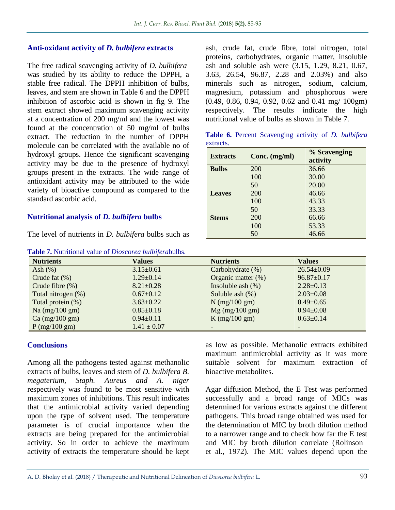#### **Anti-oxidant activity of** *D. bulbifera* **extracts**

The free radical scavenging activity of *D. bulbifera* was studied by its ability to reduce the DPPH, a stable free radical. The DPPH inhibition of bulbs, leaves, and stem are shown in Table 6 and the DPPH inhibition of ascorbic acid is shown in fig 9. The stem extract showed maximum scavenging activity at a concentration of 200 mg/ml and the lowest was found at the concentration of 50 mg/ml of bulbs extract. The reduction in the number of DPPH molecule can be correlated with the available no of hydroxyl groups. Hence the significant scavenging activity may be due to the presence of hydroxyl groups present in the extracts. The wide range of antioxidant activity may be attributed to the wide variety of bioactive compound as compared to the standard ascorbic acid.

## **Nutritional analysis of** *D. bulbifera* **bulbs**

The level of nutrients in *D. bulbifera* bulbs such as

**Table 7.** Nutritional value of *Dioscorea bulbifera*bulbs.

ash, crude fat, crude fibre, total nitrogen, total proteins, carbohydrates, organic matter, insoluble ash and soluble ash were (3.15, 1.29, 8.21, 0.67, 3.63, 26.54, 96.87, 2.28 and 2.03%) and also minerals such as nitrogen, sodium, calcium, magnesium, potassium and phosphorous were (0.49, 0.86, 0.94, 0.92, 0.62 and 0.41 mg/ 100gm) respectively. The results indicate the high nutritional value of bulbs as shown in Table 7.

**Table 6.** Percent Scavenging activity of *D. bulbifera* extracts.

| <b>Extracts</b> | Conc. (mg/ml) | % Scavenging |
|-----------------|---------------|--------------|
|                 |               | activity     |
| <b>Bulbs</b>    | 200           | 36.66        |
|                 | 100           | 30.00        |
|                 | 50            | 20.00        |
| <b>Leaves</b>   | 200           | 46.66        |
|                 | 100           | 43.33        |
|                 | 50            | 33.33        |
| <b>Stems</b>    | 200           | 66.66        |
|                 | 100           | 53.33        |
|                 | 50            | 46.66        |

| $\cdots$                                      |                 |                       |                  |  |  |  |
|-----------------------------------------------|-----------------|-----------------------|------------------|--|--|--|
| <b>Nutrients</b>                              | <b>Values</b>   | <b>Nutrients</b>      | <b>Values</b>    |  |  |  |
| Ash $(\%)$                                    | $3.15 \pm 0.61$ | Carbohydrate $(\%)$   | $26.54 \pm 0.09$ |  |  |  |
| Crude fat $(\%)$                              | $1.29 \pm 0.14$ | Organic matter $(\%)$ | $96.87 \pm 0.17$ |  |  |  |
| Crude fibre $(\%)$                            | $8.21 \pm 0.28$ | Insoluble ash $(\%)$  | $2.28 \pm 0.13$  |  |  |  |
| Total nitrogen (%)                            | $0.67 \pm 0.12$ | Soluble ash $(\%)$    | $2.03 \pm 0.08$  |  |  |  |
| Total protein (%)                             | $3.63 \pm 0.22$ | $N$ (mg/100 gm)       | $0.49 \pm 0.65$  |  |  |  |
| Na (mg/100 gm)                                | $0.85 \pm 0.18$ | $Mg$ (mg/100 gm)      | $0.94 \pm 0.08$  |  |  |  |
| $Ca \left( \frac{mg}{100} \text{ gm} \right)$ | $0.94 \pm 0.11$ | K $(mg/100 gm)$       | $0.63 \pm 0.14$  |  |  |  |
| $P$ (mg/100 gm)                               | $1.41 \pm 0.07$ |                       |                  |  |  |  |
|                                               |                 |                       |                  |  |  |  |

## **Conclusions**

Among all the pathogens tested against methanolic extracts of bulbs, leaves and stem of *D. bulbifera B. megaterium, Staph. Aureus and A. niger* respectively was found to be most sensitive with maximum zones of inhibitions. This result indicates that the antimicrobial activity varied depending upon the type of solvent used. The temperature parameter is of crucial importance when the extracts are being prepared for the antimicrobial activity. So in order to achieve the maximum activity of extracts the temperature should be kept as low as possible. Methanolic extracts exhibited maximum antimicrobial activity as it was more suitable solvent for maximum extraction of bioactive metabolites.

Agar diffusion Method, the E Test was performed successfully and a broad range of MICs was determined for various extracts against the different pathogens. This broad range obtained was used for the determination of MIC by broth dilution method to a narrower range and to check how far the E test and MIC by broth dilution correlate (Rolinson et al., 1972). The MIC values depend upon the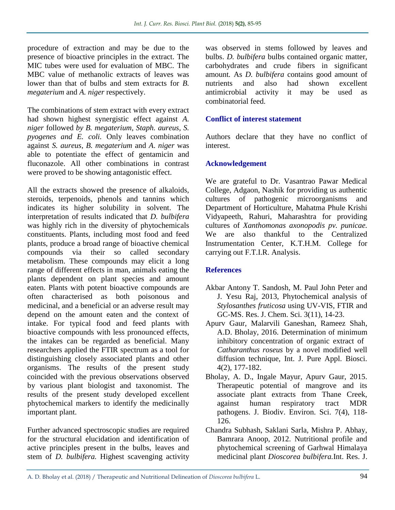procedure of extraction and may be due to the presence of bioactive principles in the extract. The MIC tubes were used for evaluation of MBC. The MBC value of methanolic extracts of leaves was lower than that of bulbs and stem extracts for *B*. *megaterium* and *A. niger* respectively.

The combinations of stem extract with every extract had shown highest synergistic effect against *A. niger* followed *by B. megaterium, Staph. aureus, S. pyogenes and E. coli.* Only leaves combination against *S. aureus, B. megaterium* and *A*. *niger* was able to potentiate the effect of gentamicin and fluconazole. All other combinations in contrast were proved to be showing antagonistic effect.

All the extracts showed the presence of alkaloids, steroids, terpenoids, phenols and tannins which indicates its higher solubility in solvent. The interpretation of results indicated that *D. bulbifera*  was highly rich in the diversity of phytochemicals constituents. Plants, including most food and feed plants, produce a broad range of bioactive chemical compounds via their so called secondary metabolism. These compounds may elicit a long range of different effects in man, animals eating the plants dependent on plant species and amount eaten. Plants with potent bioactive compounds are often characterised as both poisonous and medicinal, and a beneficial or an adverse result may depend on the amount eaten and the context of intake. For typical food and feed plants with bioactive compounds with less pronounced effects, the intakes can be regarded as beneficial. Many researchers applied the FTIR spectrum as a tool for distinguishing closely associated plants and other organisms. The results of the present study coincided with the previous observations observed by various plant biologist and taxonomist. The results of the present study developed excellent phytochemical markers to identify the medicinally important plant.

Further advanced spectroscopic studies are required for the structural elucidation and identification of active principles present in the bulbs, leaves and stem of *D. bulbifera.* Highest scavenging activity

was observed in stems followed by leaves and bulbs. *D. bulbifera* bulbs contained organic matter, carbohydrates and crude fibers in significant amount*.* As *D. bulbifera* contains good amount of nutrients and also had shown excellent antimicrobial activity it may be used as combinatorial feed.

## **Conflict of interest statement**

Authors declare that they have no conflict of interest.

## **Acknowledgement**

We are grateful to Dr. Vasantrao Pawar Medical College, Adgaon, Nashik for providing us authentic cultures of pathogenic microorganisms and Department of Horticulture, Mahatma Phule Krishi Vidyapeeth, Rahuri, Maharashtra for providing cultures of *Xanthomonas axonopodis pv. punicae.*  We are also thankful to the Centralized Instrumentation Center, K.T.H.M. College for carrying out F.T.I.R. Analysis.

## **References**

- Akbar Antony T. Sandosh, M. Paul John Peter and J. Yesu Raj, 2013, Phytochemical analysis of *Stylosanthes fruticosa* using UV-VIS, FTIR and GC-MS. Res. J. Chem. Sci. 3(11), 14-23.
- Apurv Gaur, Malarvili Ganeshan, Rameez Shah, A.D. Bholay, 2016. Determination of minimum inhibitory concentration of organic extract of *Catharanthus roseus* by a novel modified well diffusion technique, Int. J. Pure Appl. Biosci. 4(2), 177-182.
- Bholay, A. D., Ingale Mayur, Apurv Gaur, 2015. Therapeutic potential of mangrove and its associate plant extracts from Thane Creek, against human respiratory tract MDR pathogens. J. Biodiv. Environ. Sci. 7(4), 118- 126.
- Chandra Subhash, Saklani Sarla, Mishra P. Abhay, Bamrara Anoop, 2012. Nutritional profile and phytochemical screening of Garhwal Himalaya medicinal plant *Dioscorea bulbifera.*Int. Res. J.